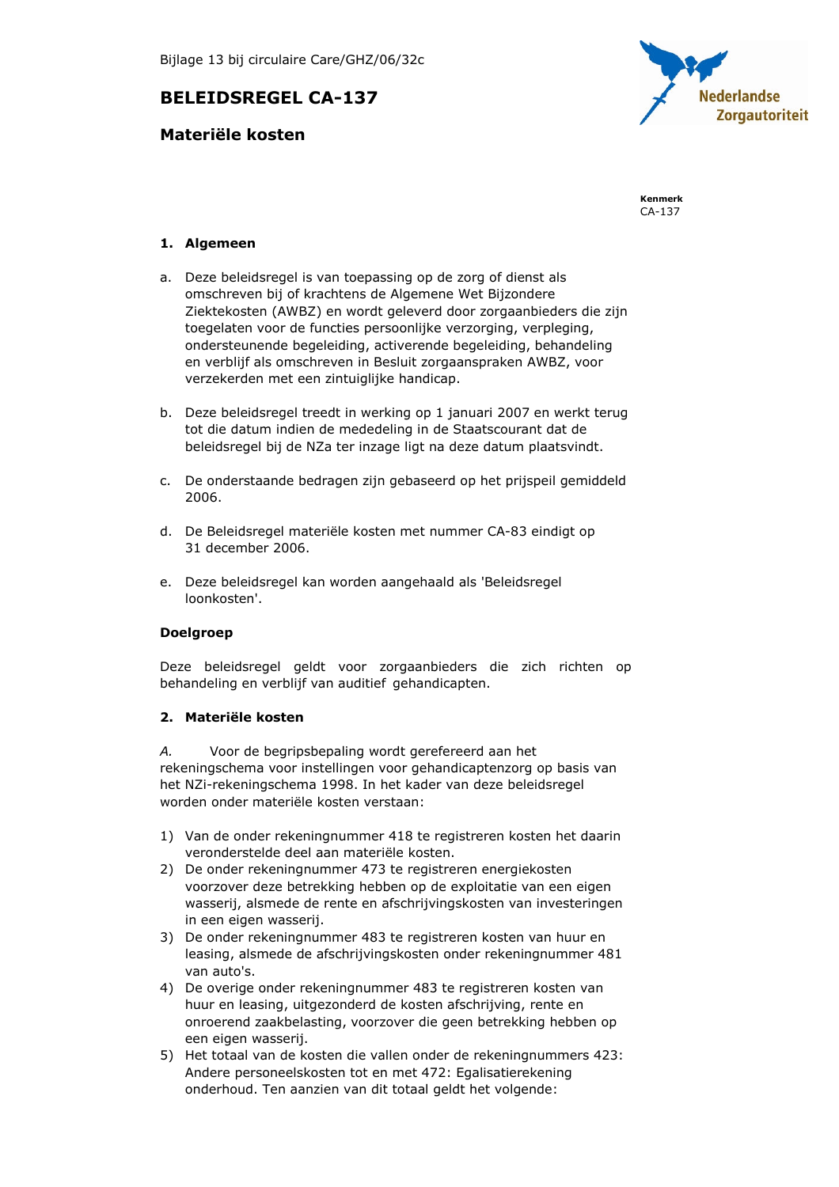# **BELEIDSREGEL CA-137**

# Materiële kosten



Kenmerk  $CA-137$ 

## 1. Algemeen

- a. Deze beleidsregel is van toepassing op de zorg of dienst als omschreven bij of krachtens de Algemene Wet Bijzondere Ziektekosten (AWBZ) en wordt geleverd door zorgaanbieders die zijn toegelaten voor de functies persoonlijke verzorging, verpleging, ondersteunende begeleiding, activerende begeleiding, behandeling en verblijf als omschreven in Besluit zorgaanspraken AWBZ, voor verzekerden met een zintuiglijke handicap.
- b. Deze beleidsregel treedt in werking op 1 januari 2007 en werkt terug tot die datum indien de mededeling in de Staatscourant dat de beleidsregel bij de NZa ter inzage ligt na deze datum plaatsvindt.
- c. De onderstaande bedragen zijn gebaseerd op het prijspeil gemiddeld 2006.
- d. De Beleidsregel materiële kosten met nummer CA-83 eindigt op 31 december 2006.
- e. Deze beleidsregel kan worden aangehaald als 'Beleidsregel loonkosten'.

### **Doelgroep**

Deze beleidsregel geldt voor zorgaanbieders die zich richten op behandeling en verblijf van auditief gehandicapten.

#### 2. Materiële kosten

A. Voor de begripsbepaling wordt gerefereerd aan het rekeningschema voor instellingen voor gehandicaptenzorg op basis van het NZi-rekeningschema 1998. In het kader van deze beleidsregel worden onder materiële kosten verstaan:

- 1) Van de onder rekeningnummer 418 te registreren kosten het daarin veronderstelde deel aan materiële kosten.
- 2) De onder rekeningnummer 473 te registreren energiekosten voorzover deze betrekking hebben op de exploitatie van een eigen wasserij, alsmede de rente en afschrijvingskosten van investeringen in een eigen wasserij.
- 3) De onder rekeningnummer 483 te registreren kosten van huur en leasing, alsmede de afschrijvingskosten onder rekeningnummer 481 van auto's.
- 4) De overige onder rekeningnummer 483 te registreren kosten van huur en leasing, uitgezonderd de kosten afschrijving, rente en onroerend zaakbelasting, voorzover die geen betrekking hebben op een eigen wasserij.
- 5) Het totaal van de kosten die vallen onder de rekeningnummers 423: Andere personeelskosten tot en met 472: Egalisatierekening onderhoud. Ten aanzien van dit totaal geldt het volgende: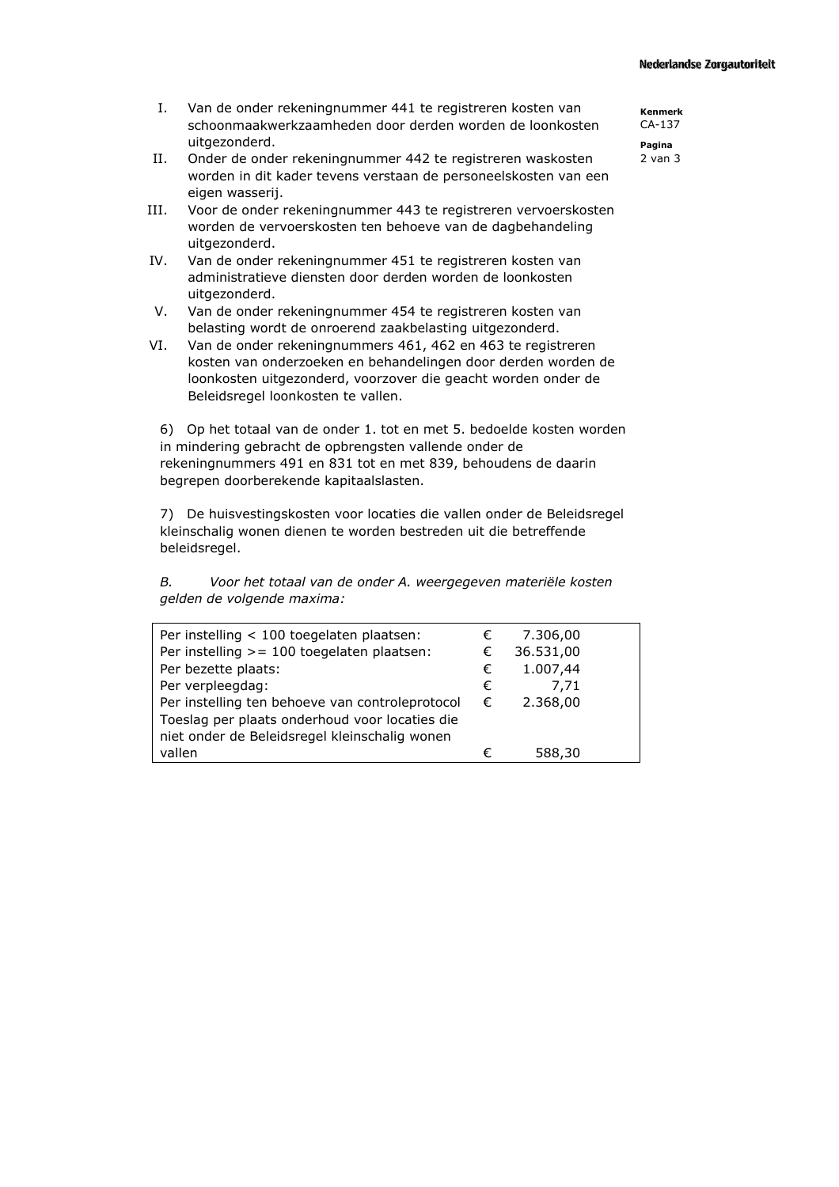#### **Nederlandse Zorgautoriteit**

- Van de onder rekeningnummer 441 te registreren kosten van  $I_{\cdot}$ schoonmaakwerkzaamheden door derden worden de loonkosten uitgezonderd.
- II. Onder de onder rekeningnummer 442 te registreren waskosten worden in dit kader tevens verstaan de personeelskosten van een eigen wasserij.
- III. Voor de onder rekeningnummer 443 te registreren vervoerskosten worden de vervoerskosten ten behoeve van de dagbehandeling uitgezonderd.
- IV. Van de onder rekeningnummer 451 te registreren kosten van administratieve diensten door derden worden de loonkosten uitgezonderd.
- V. Van de onder rekeningnummer 454 te registreren kosten van belasting wordt de onroerend zaakbelasting uitgezonderd.
- VI. Van de onder rekeningnummers 461, 462 en 463 te registreren kosten van onderzoeken en behandelingen door derden worden de loonkosten uitgezonderd, voorzover die geacht worden onder de Beleidsregel loonkosten te vallen.

6) Op het totaal van de onder 1. tot en met 5. bedoelde kosten worden in mindering gebracht de opbrengsten vallende onder de rekeningnummers 491 en 831 tot en met 839, behoudens de daarin begrepen doorberekende kapitaalslasten.

7) De huisvestingskosten voor locaties die vallen onder de Beleidsregel kleinschalig wonen dienen te worden bestreden uit die betreffende beleidsregel.

| В. | Voor het totaal van de onder A. weergegeven materiële kosten |
|----|--------------------------------------------------------------|
|    | gelden de volgende maxima:                                   |

| Per instelling < 100 toegelaten plaatsen:       |   | 7.306,00  |
|-------------------------------------------------|---|-----------|
| Per instelling >= 100 toegelaten plaatsen:      |   | 36.531,00 |
| Per bezette plaats:                             |   | 1.007,44  |
| Per verpleegdag:                                |   | 7.71      |
| Per instelling ten behoeve van controleprotocol |   | 2.368,00  |
| Toeslag per plaats onderhoud voor locaties die  |   |           |
| niet onder de Beleidsregel kleinschalig wonen   |   |           |
| vallen                                          | € | 588,30    |

Kenmerk  $CA-1.37$ 

Pagina  $2$  van  $3$